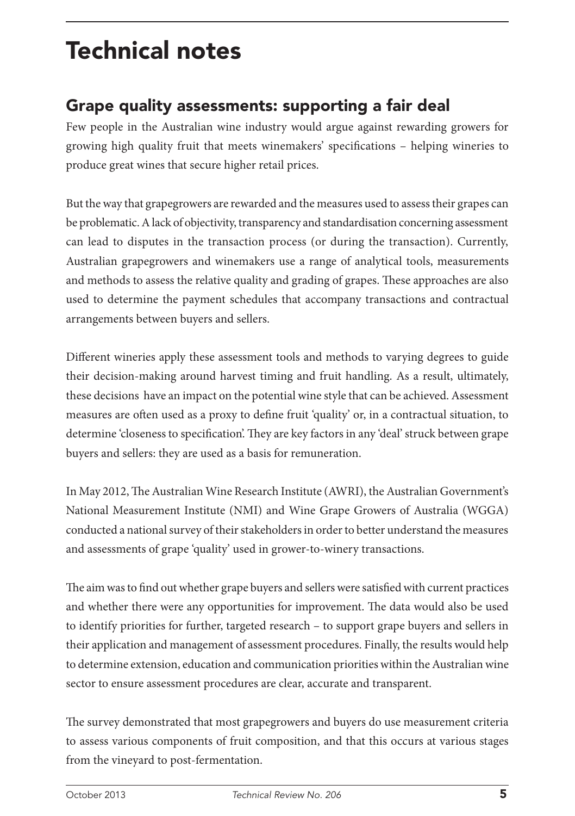# Technical notes

# Grape quality assessments: supporting a fair deal

Few people in the Australian wine industry would argue against rewarding growers for growing high quality fruit that meets winemakers' specifications – helping wineries to produce great wines that secure higher retail prices.

But the way that grapegrowers are rewarded and the measures used to assess their grapes can be problematic. A lack of objectivity, transparency and standardisation concerning assessment can lead to disputes in the transaction process (or during the transaction). Currently, Australian grapegrowers and winemakers use a range of analytical tools, measurements and methods to assess the relative quality and grading of grapes. These approaches are also used to determine the payment schedules that accompany transactions and contractual arrangements between buyers and sellers.

Different wineries apply these assessment tools and methods to varying degrees to guide their decision-making around harvest timing and fruit handling. As a result, ultimately, these decisions have an impact on the potential wine style that can be achieved. Assessment measures are often used as a proxy to define fruit 'quality' or, in a contractual situation, to determine 'closeness to specification'. They are key factors in any 'deal' struck between grape buyers and sellers: they are used as a basis for remuneration.

In May 2012, The Australian Wine Research Institute (AWRI), the Australian Government's National Measurement Institute (NMI) and Wine Grape Growers of Australia (WGGA) conducted a national survey of their stakeholders in order to better understand the measures and assessments of grape 'quality' used in grower-to-winery transactions.

The aim was to find out whether grape buyers and sellers were satisfied with current practices and whether there were any opportunities for improvement. The data would also be used to identify priorities for further, targeted research – to support grape buyers and sellers in their application and management of assessment procedures. Finally, the results would help to determine extension, education and communication priorities within the Australian wine sector to ensure assessment procedures are clear, accurate and transparent.

The survey demonstrated that most grapegrowers and buyers do use measurement criteria to assess various components of fruit composition, and that this occurs at various stages from the vineyard to post-fermentation.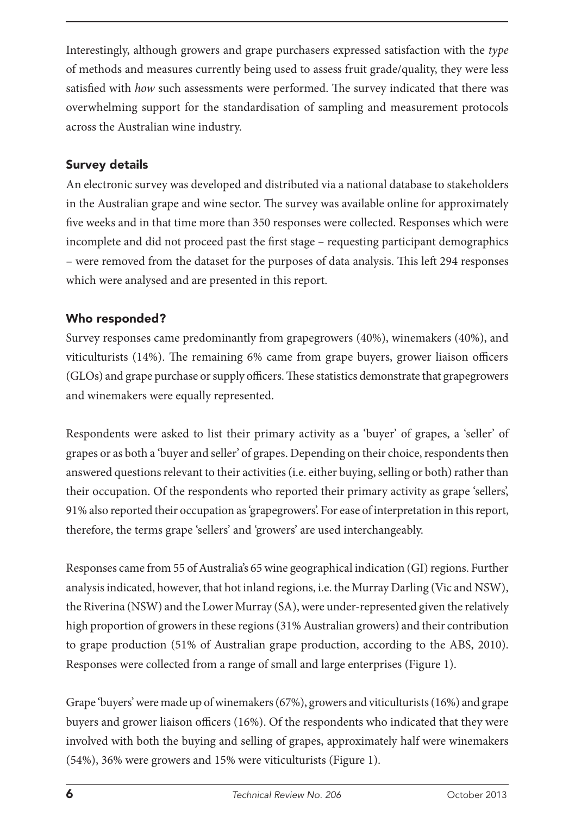Interestingly, although growers and grape purchasers expressed satisfaction with the *type* of methods and measures currently being used to assess fruit grade/quality, they were less satisfied with *how* such assessments were performed. The survey indicated that there was overwhelming support for the standardisation of sampling and measurement protocols across the Australian wine industry.

## Survey details

An electronic survey was developed and distributed via a national database to stakeholders in the Australian grape and wine sector. The survey was available online for approximately five weeks and in that time more than 350 responses were collected. Responses which were incomplete and did not proceed past the first stage – requesting participant demographics – were removed from the dataset for the purposes of data analysis. This left 294 responses which were analysed and are presented in this report.

# Who responded?

Survey responses came predominantly from grapegrowers (40%), winemakers (40%), and viticulturists (14%). The remaining 6% came from grape buyers, grower liaison officers (GLOs) and grape purchase or supply officers. These statistics demonstrate that grapegrowers and winemakers were equally represented.

Respondents were asked to list their primary activity as a 'buyer' of grapes, a 'seller' of grapes or as both a 'buyer and seller' of grapes. Depending on their choice, respondents then answered questions relevant to their activities (i.e. either buying, selling or both) rather than their occupation. Of the respondents who reported their primary activity as grape 'sellers', 91% also reported their occupation as 'grapegrowers'. For ease of interpretation in this report, therefore, the terms grape 'sellers' and 'growers' are used interchangeably.

Responses came from 55 of Australia's 65 wine geographical indication (GI) regions. Further analysis indicated, however, that hot inland regions, i.e. the Murray Darling (Vic and NSW), the Riverina (NSW) and the Lower Murray (SA), were under-represented given the relatively high proportion of growers in these regions (31% Australian growers) and their contribution to grape production (51% of Australian grape production, according to the ABS, 2010). Responses were collected from a range of small and large enterprises (Figure 1).

Grape 'buyers' were made up of winemakers (67%), growers and viticulturists (16%) and grape buyers and grower liaison officers (16%). Of the respondents who indicated that they were involved with both the buying and selling of grapes, approximately half were winemakers (54%), 36% were growers and 15% were viticulturists (Figure 1).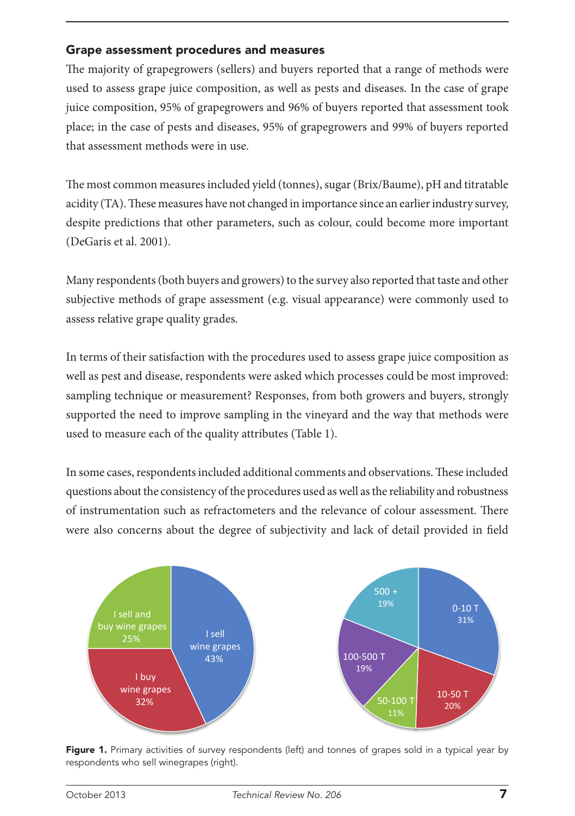#### Grape assessment procedures and measures

The majority of grapegrowers (sellers) and buyers reported that a range of methods were used to assess grape juice composition, as well as pests and diseases. In the case of grape juice composition, 95% of grapegrowers and 96% of buyers reported that assessment took place; in the case of pests and diseases, 95% of grapegrowers and 99% of buyers reported that assessment methods were in use.

The most common measures included yield (tonnes), sugar (Brix/Baume), pH and titratable acidity (TA). These measures have not changed in importance since an earlier industry survey, despite predictions that other parameters, such as colour, could become more important (DeGaris et al. 2001).

Many respondents (both buyers and growers) to the survey also reported that taste and other subjective methods of grape assessment (e.g. visual appearance) were commonly used to assess relative grape quality grades.

In terms of their satisfaction with the procedures used to assess grape juice composition as well as pest and disease, respondents were asked which processes could be most improved: sampling technique or measurement? Responses, from both growers and buyers, strongly supported the need to improve sampling in the vineyard and the way that methods were used to measure each of the quality attributes (Table 1).

In some cases, respondents included additional comments and observations. These included questions about the consistency of the procedures used as well as the reliability and robustness of instrumentation such as refractometers and the relevance of colour assessment. There were also concerns about the degree of subjectivity and lack of detail provided in field



Figure 1. Primary activities of survey respondents (left) and tonnes of grapes sold in a typical year by respondents who sell winegrapes (right).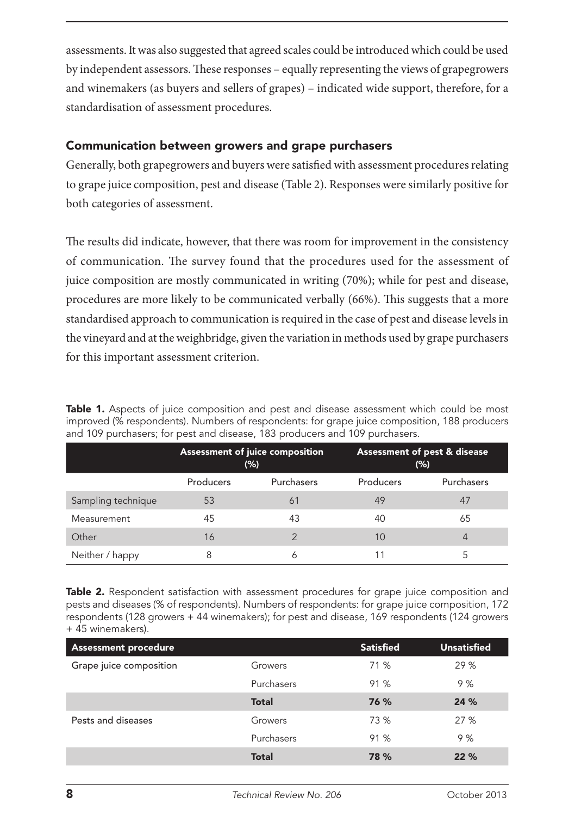assessments. It was also suggested that agreed scales could be introduced which could be used by independent assessors. These responses – equally representing the views of grapegrowers and winemakers (as buyers and sellers of grapes) – indicated wide support, therefore, for a standardisation of assessment procedures.

#### Communication between growers and grape purchasers

Generally, both grapegrowers and buyers were satisfied with assessment procedures relating to grape juice composition, pest and disease (Table 2). Responses were similarly positive for both categories of assessment.

The results did indicate, however, that there was room for improvement in the consistency of communication. The survey found that the procedures used for the assessment of juice composition are mostly communicated in writing (70%); while for pest and disease, procedures are more likely to be communicated verbally (66%). This suggests that a more standardised approach to communication is required in the case of pest and disease levels in the vineyard and at the weighbridge, given the variation in methods used by grape purchasers for this important assessment criterion.

Table 1. Aspects of juice composition and pest and disease assessment which could be most improved (% respondents). Numbers of respondents: for grape juice composition, 188 producers and 109 purchasers; for pest and disease, 183 producers and 109 purchasers.

|                    | Assessment of juice composition<br>(%) |            | Assessment of pest & disease<br>(% ) |            |
|--------------------|----------------------------------------|------------|--------------------------------------|------------|
|                    | Producers                              | Purchasers | Producers                            | Purchasers |
| Sampling technique | 53                                     | 61         | 49                                   | 47         |
| Measurement        | 45                                     | 43         | 40                                   | 65         |
| Other              | 16                                     | っ          | 10                                   | 4          |
| Neither / happy    | 8                                      | 6          |                                      |            |

Table 2. Respondent satisfaction with assessment procedures for grape juice composition and pests and diseases (% of respondents). Numbers of respondents: for grape juice composition, 172 respondents (128 growers + 44 winemakers); for pest and disease, 169 respondents (124 growers + 45 winemakers).

| <b>Assessment procedure</b> |              | <b>Satisfied</b> | <b>Unsatisfied</b> |
|-----------------------------|--------------|------------------|--------------------|
| Grape juice composition     | Growers      | 71 %             | 29 %               |
|                             | Purchasers   | 91 %             | 9%                 |
|                             | <b>Total</b> | 76 %             | 24 %               |
| Pests and diseases          | Growers      | 73 %             | 27 %               |
|                             | Purchasers   | 91 %             | 9%                 |
|                             | <b>Total</b> | 78 %             | 22%                |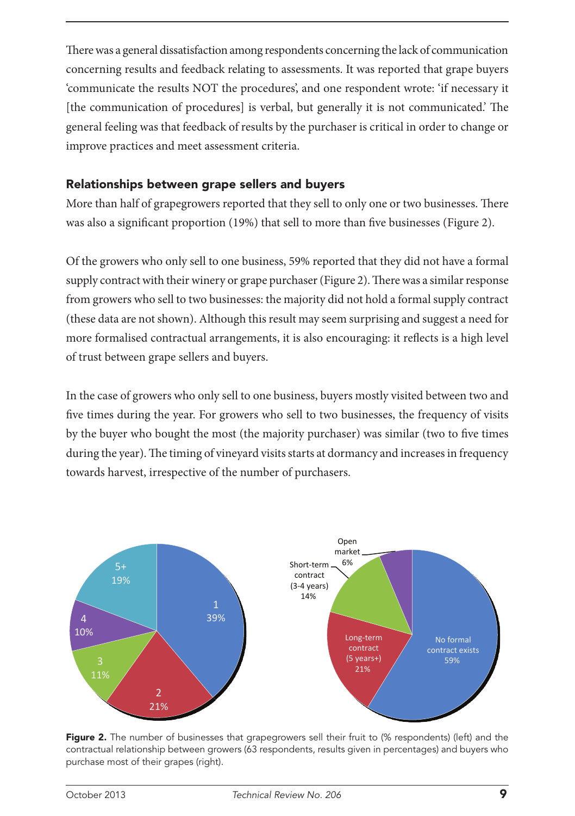There was a general dissatisfaction among respondents concerning the lack of communication concerning results and feedback relating to assessments. It was reported that grape buyers 'communicate the results NOT the procedures', and one respondent wrote: 'if necessary it [the communication of procedures] is verbal, but generally it is not communicated.' The general feeling was that feedback of results by the purchaser is critical in order to change or improve practices and meet assessment criteria.

#### Relationships between grape sellers and buyers

More than half of grapegrowers reported that they sell to only one or two businesses. There was also a significant proportion (19%) that sell to more than five businesses (Figure 2).

Of the growers who only sell to one business, 59% reported that they did not have a formal supply contract with their winery or grape purchaser (Figure 2). There was a similar response from growers who sell to two businesses: the majority did not hold a formal supply contract (these data are not shown). Although this result may seem surprising and suggest a need for more formalised contractual arrangements, it is also encouraging: it reflects is a high level of trust between grape sellers and buyers.

In the case of growers who only sell to one business, buyers mostly visited between two and five times during the year. For growers who sell to two businesses, the frequency of visits by the buyer who bought the most (the majority purchaser) was similar (two to five times during the year). The timing of vineyard visits starts at dormancy and increases in frequency towards harvest, irrespective of the number of purchasers.



Figure 2. The number of businesses that grapegrowers sell their fruit to (% respondents) (left) and the contractual relationship between growers (63 respondents, results given in percentages) and buyers who purchase most of their grapes (right).